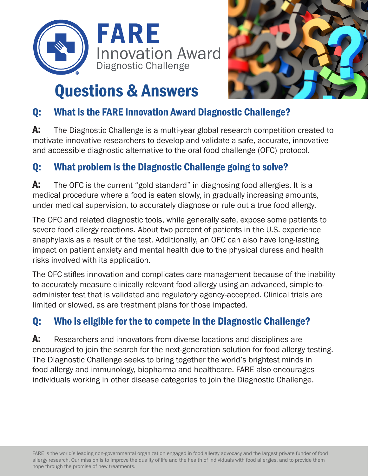



# Questions & Answers

## Q: What is the FARE Innovation Award Diagnostic Challenge?

A: The Diagnostic Challenge is a multi-year global research competition created to motivate innovative researchers to develop and validate a safe, accurate, innovative and accessible diagnostic alternative to the oral food challenge (OFC) protocol.

## Q: What problem is the Diagnostic Challenge going to solve?

**A:** The OFC is the current "gold standard" in diagnosing food allergies. It is a medical procedure where a food is eaten slowly, in gradually increasing amounts, under medical supervision, to accurately diagnose or rule out a true food allergy.

The OFC and related diagnostic tools, while generally safe, expose some patients to severe food allergy reactions. About two percent of patients in the U.S. experience anaphylaxis as a result of the test. Additionally, an OFC can also have long-lasting impact on patient anxiety and mental health due to the physical duress and health risks involved with its application.

The OFC stifles innovation and complicates care management because of the inability to accurately measure clinically relevant food allergy using an advanced, simple-toadminister test that is validated and regulatory agency-accepted. Clinical trials are limited or slowed, as are treatment plans for those impacted.

#### Q: Who is eligible for the to compete in the Diagnostic Challenge?

A: Researchers and innovators from diverse locations and disciplines are encouraged to join the search for the next-generation solution for food allergy testing. The Diagnostic Challenge seeks to bring together the world's brightest minds in food allergy and immunology, biopharma and healthcare. FARE also encourages individuals working in other disease categories to join the Diagnostic Challenge.

FARE is the world's leading non-governmental organization engaged in food allergy advocacy and the largest private funder of food allergy research. Our mission is to improve the quality of life and the health of individuals with food allergies, and to provide them hope through the promise of new treatments.